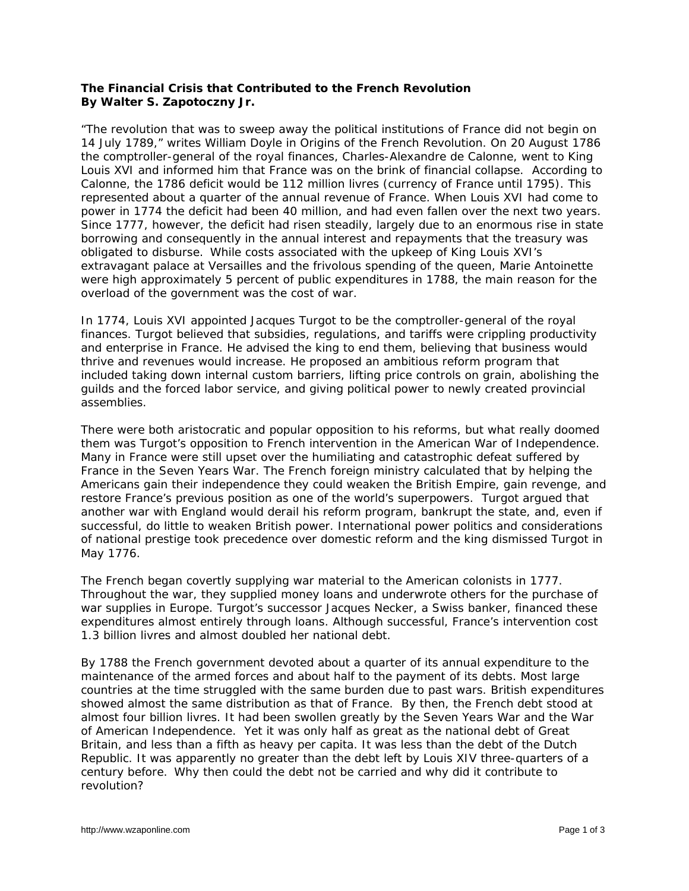## **The Financial Crisis that Contributed to the French Revolution By Walter S. Zapotoczny Jr.**

"The revolution that was to sweep away the political institutions of France did not begin on 14 July 1789," writes William Doyle in *Origins of the French Revolution*. On 20 August 1786 the comptroller-general of the royal finances, Charles-Alexandre de Calonne, went to King Louis XVI and informed him that France was on the brink of financial collapse. According to Calonne, the 1786 deficit would be 112 million *livres* (currency of France until 1795). This represented about a quarter of the annual revenue of France. When Louis XVI had come to power in 1774 the deficit had been 40 million, and had even fallen over the next two years. Since 1777, however, the deficit had risen steadily, largely due to an enormous rise in state borrowing and consequently in the annual interest and repayments that the treasury was obligated to disburse. While costs associated with the upkeep of King Louis XVI's extravagant palace at Versailles and the frivolous spending of the queen, Marie Antoinette were high approximately 5 percent of public expenditures in 1788, the main reason for the overload of the government was the cost of war.

In 1774, Louis XVI appointed Jacques Turgot to be the comptroller-general of the royal finances. Turgot believed that subsidies, regulations, and tariffs were crippling productivity and enterprise in France. He advised the king to end them, believing that business would thrive and revenues would increase. He proposed an ambitious reform program that included taking down internal custom barriers, lifting price controls on grain, abolishing the guilds and the forced labor service, and giving political power to newly created provincial assemblies.

There were both aristocratic and popular opposition to his reforms, but what really doomed them was Turgot's opposition to French intervention in the American War of Independence. Many in France were still upset over the humiliating and catastrophic defeat suffered by France in the Seven Years War. The French foreign ministry calculated that by helping the Americans gain their independence they could weaken the British Empire, gain revenge, and restore France's previous position as one of the world's superpowers. Turgot argued that another war with England would derail his reform program, bankrupt the state, and, even if successful, do little to weaken British power. International power politics and considerations of national prestige took precedence over domestic reform and the king dismissed Turgot in May 1776.

The French began covertly supplying war material to the American colonists in 1777. Throughout the war, they supplied money loans and underwrote others for the purchase of war supplies in Europe. Turgot's successor Jacques Necker, a Swiss banker, financed these expenditures almost entirely through loans. Although successful, France's intervention cost 1.3 billion *livres* and almost doubled her national debt.

By 1788 the French government devoted about a quarter of its annual expenditure to the maintenance of the armed forces and about half to the payment of its debts. Most large countries at the time struggled with the same burden due to past wars. British expenditures showed almost the same distribution as that of France. By then, the French debt stood at almost four billion *livres*. It had been swollen greatly by the Seven Years War and the War of American Independence. Yet it was only half as great as the national debt of Great Britain, and less than a fifth as heavy per capita. It was less than the debt of the Dutch Republic. It was apparently no greater than the debt left by Louis XIV three-quarters of a century before. Why then could the debt not be carried and why did it contribute to revolution?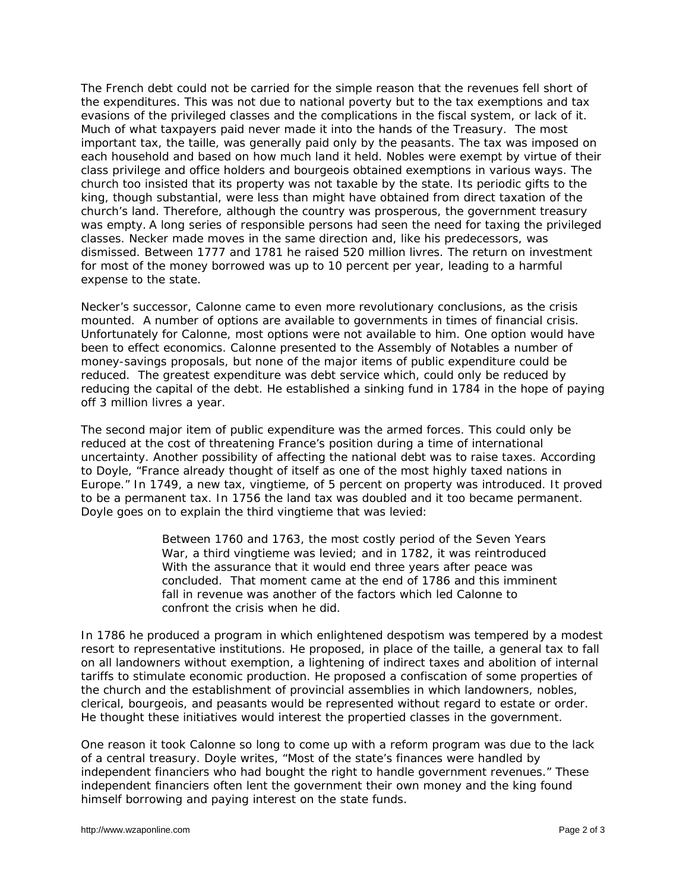The French debt could not be carried for the simple reason that the revenues fell short of the expenditures. This was not due to national poverty but to the tax exemptions and tax evasions of the privileged classes and the complications in the fiscal system, or lack of it. Much of what taxpayers paid never made it into the hands of the Treasury. The most important tax, the *taille*, was generally paid only by the peasants. The tax was imposed on each household and based on how much land it held. Nobles were exempt by virtue of their class privilege and office holders and bourgeois obtained exemptions in various ways. The church too insisted that its property was not taxable by the state. Its periodic gifts to the king, though substantial, were less than might have obtained from direct taxation of the church's land. Therefore, although the country was prosperous, the government treasury was empty. A long series of responsible persons had seen the need for taxing the privileged classes. Necker made moves in the same direction and, like his predecessors, was dismissed. Between 1777 and 1781 he raised 520 million *livres*. The return on investment for most of the money borrowed was up to 10 percent per year, leading to a harmful expense to the state.

Necker's successor, Calonne came to even more revolutionary conclusions, as the crisis mounted. A number of options are available to governments in times of financial crisis. Unfortunately for Calonne, most options were not available to him. One option would have been to effect economics. Calonne presented to the Assembly of Notables a number of money-savings proposals, but none of the major items of public expenditure could be reduced. The greatest expenditure was debt service which, could only be reduced by reducing the capital of the debt. He established a sinking fund in 1784 in the hope of paying off 3 million *livres* a year.

The second major item of public expenditure was the armed forces. This could only be reduced at the cost of threatening France's position during a time of international uncertainty. Another possibility of affecting the national debt was to raise taxes. According to Doyle, "France already thought of itself as one of the most highly taxed nations in Europe." In 1749, a new tax, *vingtieme*, of 5 percent on property was introduced. It proved to be a permanent tax. In 1756 the land tax was doubled and it too became permanent. Doyle goes on to explain the third *vingtieme* that was levied:

> Between 1760 and 1763, the most costly period of the Seven Years War, a third *vingtieme* was levied; and in 1782, it was reintroduced With the assurance that it would end three years after peace was concluded. That moment came at the end of 1786 and this imminent fall in revenue was another of the factors which led Calonne to confront the crisis when he did.

In 1786 he produced a program in which enlightened despotism was tempered by a modest resort to representative institutions. He proposed, in place of the *taille*, a general tax to fall on all landowners without exemption, a lightening of indirect taxes and abolition of internal tariffs to stimulate economic production. He proposed a confiscation of some properties of the church and the establishment of provincial assemblies in which landowners, nobles, clerical, bourgeois, and peasants would be represented without regard to estate or order. He thought these initiatives would interest the propertied classes in the government.

One reason it took Calonne so long to come up with a reform program was due to the lack of a central treasury. Doyle writes, "Most of the state's finances were handled by independent financiers who had bought the right to handle government revenues." These independent financiers often lent the government their own money and the king found himself borrowing and paying interest on the state funds.